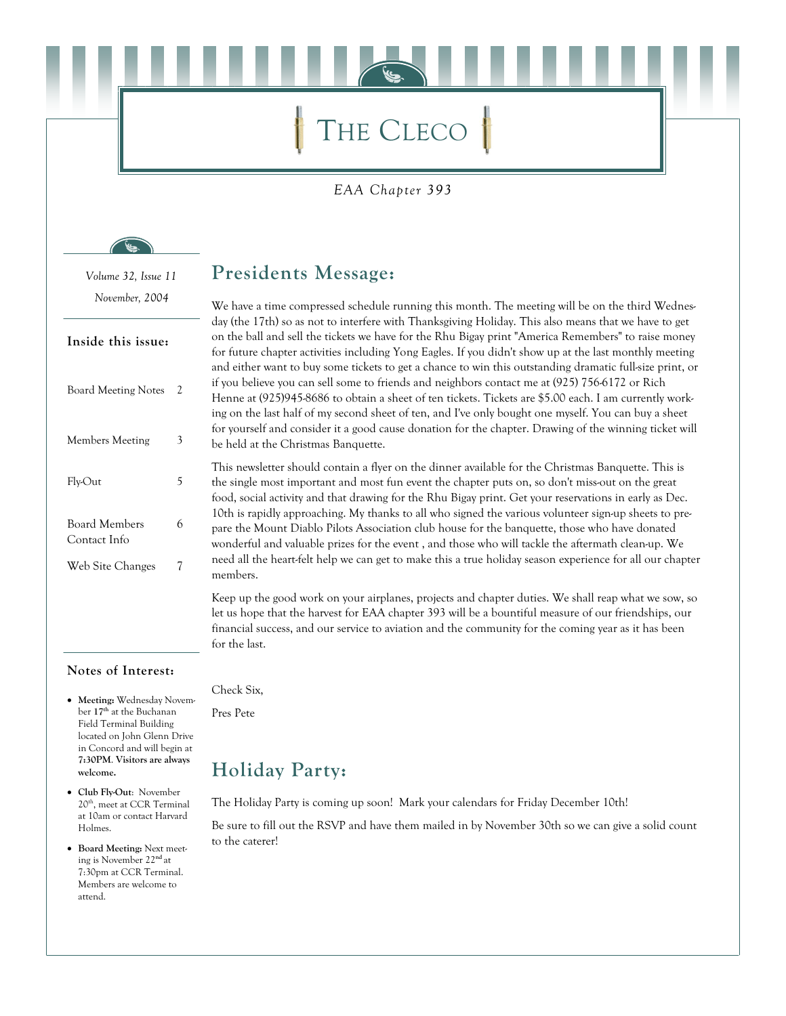# THE CLECO

#### EAA Chapter 393

Volume 32, Issue 11 November, 2004

#### Inside this issue:

| <b>Board Meeting Notes</b>    | 2 |
|-------------------------------|---|
| Members Meeting               | 3 |
| Fly-Out                       | 5 |
| Board Members<br>Contact Info | 6 |
| Web Site Changes              | 7 |

### **Presidents Message:**

We have a time compressed schedule running this month. The meeting will be on the third Wednesday (the 17th) so as not to interfere with Thanksgiving Holiday. This also means that we have to get on the ball and sell the tickets we have for the Rhu Bigay print "America Remembers" to raise money for future chapter activities including Yong Eagles. If you didn't show up at the last monthly meeting and either want to buy some tickets to get a chance to win this outstanding dramatic full-size print, or if you believe you can sell some to friends and neighbors contact me at (925) 756-6172 or Rich Henne at (925)945-8686 to obtain a sheet of ten tickets. Tickets are \$5.00 each. I am currently working on the last half of my second sheet of ten, and I've only bought one myself. You can buy a sheet for yourself and consider it a good cause donation for the chapter. Drawing of the winning ticket will be held at the Christmas Banquette.

This newsletter should contain a flyer on the dinner available for the Christmas Banquette. This is the single most important and most fun event the chapter puts on, so don't miss-out on the great food, social activity and that drawing for the Rhu Bigay print. Get your reservations in early as Dec. 10th is rapidly approaching. My thanks to all who signed the various volunteer sign-up sheets to prepare the Mount Diablo Pilots Association club house for the banquette, those who have donated wonderful and valuable prizes for the event, and those who will tackle the aftermath clean-up. We need all the heart-felt help we can get to make this a true holiday season experience for all our chapter members.

Keep up the good work on your airplanes, projects and chapter duties. We shall reap what we sow, so let us hope that the harvest for EAA chapter 393 will be a bountiful measure of our friendships, our financial success, and our service to aviation and the community for the coming year as it has been for the last.

#### Notes of Interest:

- $\bullet$ Meeting: Wednesday November 17<sup>th</sup> at the Buchanan Field Terminal Building located on John Glenn Drive in Concord and will begin at 7:30PM. Visitors are always welcome.
- Club Fly-Out: November 20<sup>th</sup>, meet at CCR Terminal at 10am or contact Harvard Holmes.
- Board Meeting: Next meeting is November 22<sup>nd</sup> at 7:30pm at CCR Terminal. Members are welcome to attend.

Check Six,

Pres Pete

# **Holiday Party:**

The Holiday Party is coming up soon! Mark your calendars for Friday December 10th!

Be sure to fill out the RSVP and have them mailed in by November 30th so we can give a solid count to the caterer!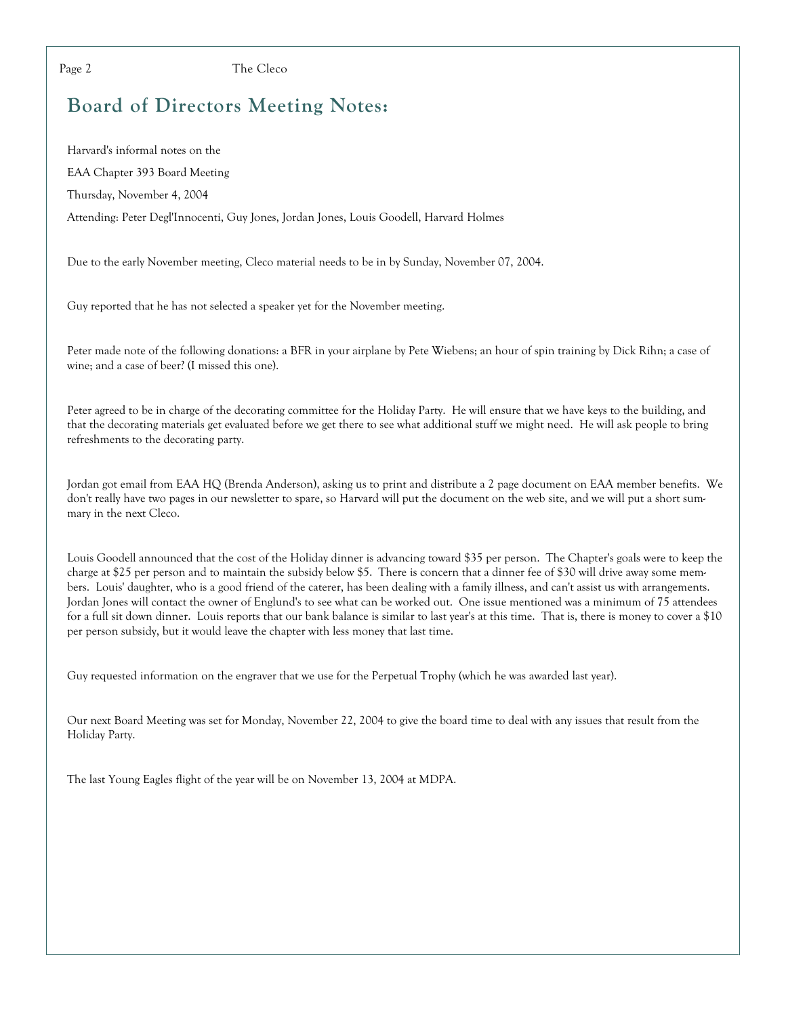The Cleco

# **Board of Directors Meeting Notes:**

Harvard's informal notes on the EAA Chapter 393 Board Meeting Thursday, November 4, 2004 Attending: Peter Degl'Innocenti, Guy Jones, Jordan Jones, Louis Goodell, Harvard Holmes

Due to the early November meeting, Cleco material needs to be in by Sunday, November 07, 2004.

Guy reported that he has not selected a speaker yet for the November meeting.

Peter made note of the following donations: a BFR in your airplane by Pete Wiebens; an hour of spin training by Dick Rihn; a case of wine; and a case of beer? (I missed this one).

Peter agreed to be in charge of the decorating committee for the Holiday Party. He will ensure that we have keys to the building, and that the decorating materials get evaluated before we get there to see what additional stuff we might need. He will ask people to bring refreshments to the decorating party.

Jordan got email from EAA HQ (Brenda Anderson), asking us to print and distribute a 2 page document on EAA member benefits. We don't really have two pages in our newsletter to spare, so Harvard will put the document on the web site, and we will put a short summary in the next Cleco.

Louis Goodell announced that the cost of the Holiday dinner is advancing toward \$35 per person. The Chapter's goals were to keep the charge at \$25 per person and to maintain the subsidy below \$5. There is concern that a dinner fee of \$30 will drive away some members. Louis' daughter, who is a good friend of the caterer, has been dealing with a family illness, and can't assist us with arrangements. Jordan Jones will contact the owner of Englund's to see what can be worked out. One issue mentioned was a minimum of 75 attendees for a full sit down dinner. Louis reports that our bank balance is similar to last year's at this time. That is, there is money to cover a \$10 per person subsidy, but it would leave the chapter with less money that last time.

Guy requested information on the engraver that we use for the Perpetual Trophy (which he was awarded last year).

Our next Board Meeting was set for Monday, November 22, 2004 to give the board time to deal with any issues that result from the Holiday Party.

The last Young Eagles flight of the year will be on November 13, 2004 at MDPA.

Page 2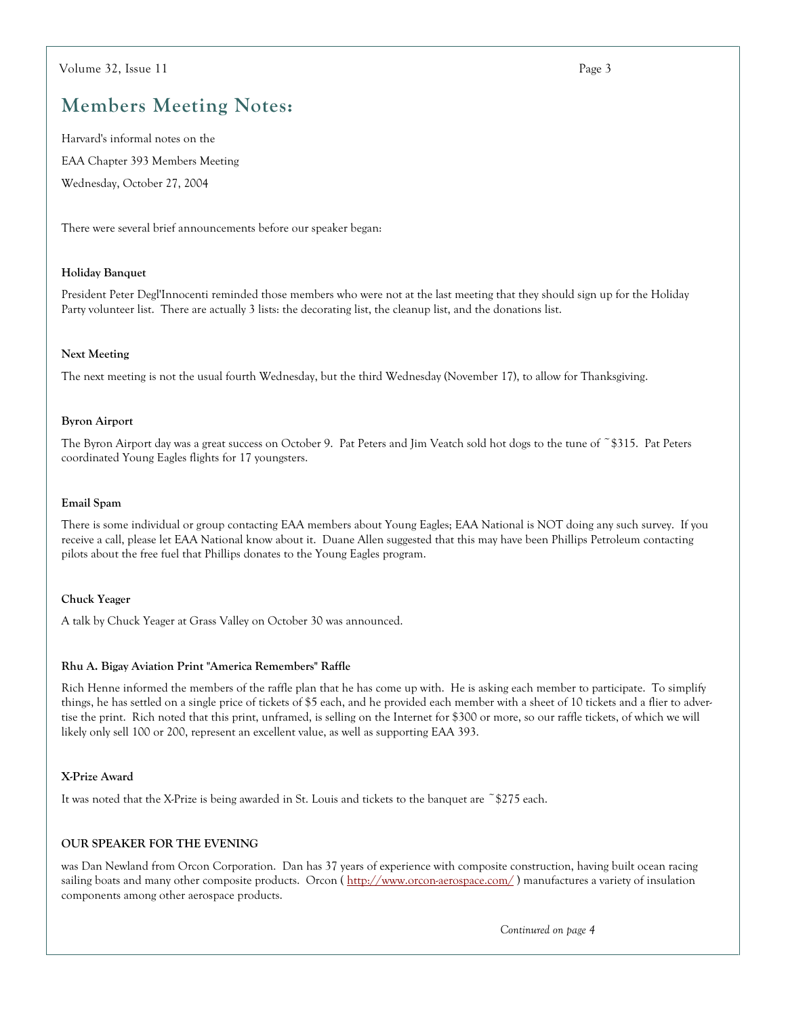# **Members Meeting Notes:**

Harvard's informal notes on the EAA Chapter 393 Members Meeting Wednesday, October 27, 2004

There were several brief announcements before our speaker began:

#### **Holiday Banquet**

President Peter Degl'Innocenti reminded those members who were not at the last meeting that they should sign up for the Holiday Party volunteer list. There are actually 3 lists: the decorating list, the cleanup list, and the donations list.

#### **Next Meeting**

The next meeting is not the usual fourth Wednesday, but the third Wednesday (November 17), to allow for Thanksgiving.

#### **Byron Airport**

The Byron Airport day was a great success on October 9. Pat Peters and Jim Veatch sold hot dogs to the tune of ~\$315. Pat Peters coordinated Young Eagles flights for 17 youngsters.

#### Email Spam

There is some individual or group contacting EAA members about Young Eagles; EAA National is NOT doing any such survey. If you receive a call, please let EAA National know about it. Duane Allen suggested that this may have been Phillips Petroleum contacting pilots about the free fuel that Phillips donates to the Young Eagles program.

#### **Chuck Yeager**

A talk by Chuck Yeager at Grass Valley on October 30 was announced.

#### Rhu A. Bigay Aviation Print "America Remembers" Raffle

Rich Henne informed the members of the raffle plan that he has come up with. He is asking each member to participate. To simplify things, he has settled on a single price of tickets of \$5 each, and he provided each member with a sheet of 10 tickets and a flier to advertise the print. Rich noted that this print, unframed, is selling on the Internet for \$300 or more, so our raffle tickets, of which we will likely only sell 100 or 200, represent an excellent value, as well as supporting EAA 393.

#### X-Prize Award

It was noted that the X-Prize is being awarded in St. Louis and tickets to the banquet are  $\tilde{\phantom{a}}$  \$275 each.

#### **OUR SPEAKER FOR THE EVENING**

was Dan Newland from Orcon Corporation. Dan has 37 years of experience with composite construction, having built ocean racing sailing boats and many other composite products. Orcon (http://www.orcon-aerospace.com/) manufactures a variety of insulation components among other aerospace products.

Continured on page 4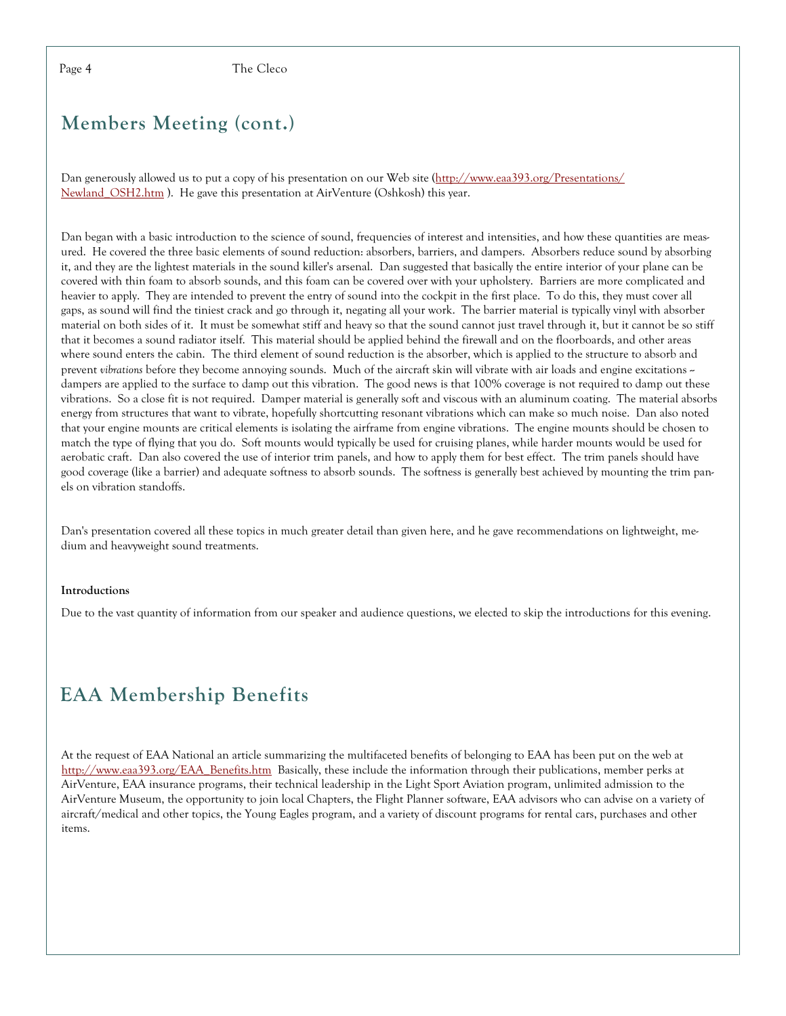Page 4

The Cleco

### **Members Meeting (cont.)**

Dan generously allowed us to put a copy of his presentation on our Web site (http://www.eaa393.org/Presentations/ Newland OSH2.htm). He gave this presentation at AirVenture (Oshkosh) this year.

Dan began with a basic introduction to the science of sound, frequencies of interest and intensities, and how these quantities are measured. He covered the three basic elements of sound reduction: absorbers, barriers, and dampers. Absorbers reduce sound by absorbing it, and they are the lightest materials in the sound killer's arsenal. Dan suggested that basically the entire interior of your plane can be covered with thin foam to absorb sounds, and this foam can be covered over with your upholstery. Barriers are more complicated and heavier to apply. They are intended to prevent the entry of sound into the cockpit in the first place. To do this, they must cover all gaps, as sound will find the tiniest crack and go through it, negating all your work. The barrier material is typically vinyl with absorber material on both sides of it. It must be somewhat stiff and heavy so that the sound cannot just travel through it, but it cannot be so stiff that it becomes a sound radiator itself. This material should be applied behind the firewall and on the floorboards, and other areas where sound enters the cabin. The third element of sound reduction is the absorber, which is applied to the structure to absorb and prevent vibrations before they become annoving sounds. Much of the aircraft skin will vibrate with air loads and engine excitations  $\sim$ dampers are applied to the surface to damp out this vibration. The good news is that 100% coverage is not required to damp out these vibrations. So a close fit is not required. Damper material is generally soft and viscous with an aluminum coating. The material absorbs energy from structures that want to vibrate, hopefully shortcutting resonant vibrations which can make so much noise. Dan also noted that your engine mounts are critical elements is isolating the airframe from engine vibrations. The engine mounts should be chosen to match the type of flying that you do. Soft mounts would typically be used for cruising planes, while harder mounts would be used for aerobatic craft. Dan also covered the use of interior trim panels, and how to apply them for best effect. The trim panels should have good coverage (like a barrier) and adequate softness to absorb sounds. The softness is generally best achieved by mounting the trim panels on vibration standoffs.

Dan's presentation covered all these topics in much greater detail than given here, and he gave recommendations on lightweight, medium and heavyweight sound treatments.

#### Introductions

Due to the vast quantity of information from our speaker and audience questions, we elected to skip the introductions for this evening.

# **EAA Membership Benefits**

At the request of EAA National an article summarizing the multifaceted benefits of belonging to EAA has been put on the web at http://www.eaa393.org/EAA\_Benefits.htm Basically, these include the information through their publications, member perks at AirVenture, EAA insurance programs, their technical leadership in the Light Sport Aviation program, unlimited admission to the AirVenture Museum, the opportunity to join local Chapters, the Flight Planner software, EAA advisors who can advise on a variety of aircraft/medical and other topics, the Young Eagles program, and a variety of discount programs for rental cars, purchases and other items.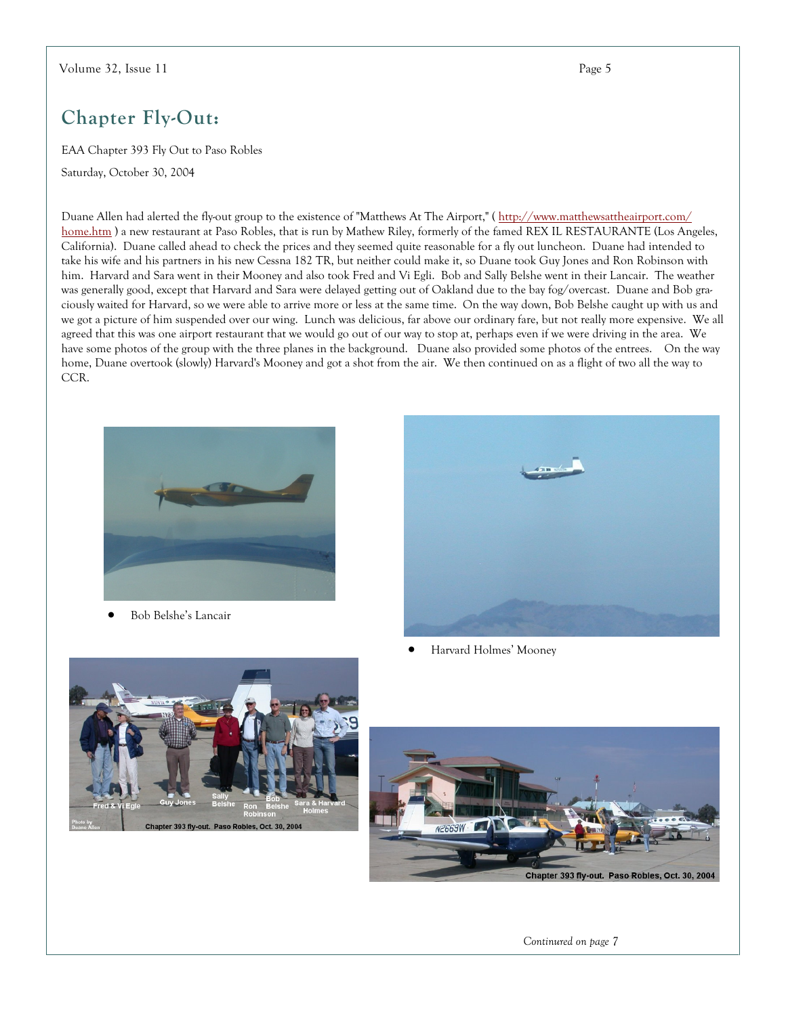# Chapter Fly-Out:

EAA Chapter 393 Fly Out to Paso Robles

Saturday, October 30, 2004

Duane Allen had alerted the fly-out group to the existence of "Matthews At The Airport," (http://www.matthewsattheairport.com/ home.htm) a new restaurant at Paso Robles, that is run by Mathew Riley, formerly of the famed REX IL RESTAURANTE (Los Angeles, California). Duane called ahead to check the prices and they seemed quite reasonable for a fly out luncheon. Duane had intended to take his wife and his partners in his new Cessna 182 TR, but neither could make it, so Duane took Guy Jones and Ron Robinson with him. Harvard and Sara went in their Mooney and also took Fred and Vi Egli. Bob and Sally Belshe went in their Lancair. The weather was generally good, except that Harvard and Sara were delayed getting out of Oakland due to the bay fog/overcast. Duane and Bob graciously waited for Harvard, so we were able to arrive more or less at the same time. On the way down, Bob Belshe caught up with us and we got a picture of him suspended over our wing. Lunch was delicious, far above our ordinary fare, but not really more expensive. We all agreed that this was one airport restaurant that we would go out of our way to stop at, perhaps even if we were driving in the area. We have some photos of the group with the three planes in the background. Duane also provided some photos of the entrees. On the way home, Duane overtook (slowly) Harvard's Mooney and got a shot from the air. We then continued on as a flight of two all the way to CCR.



Bob Belshe's Lancair



Harvard Holmes' Mooney





Continured on page 7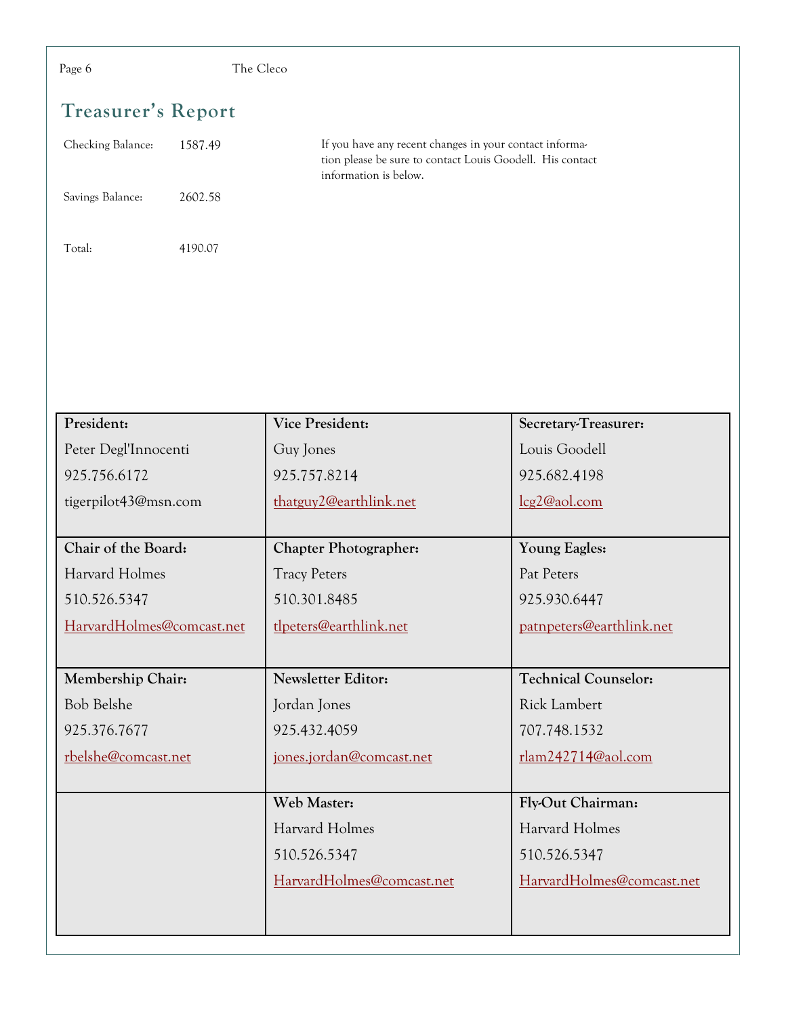| The Cleco<br>Page 6          |                                                                                                                                               |                             |  |
|------------------------------|-----------------------------------------------------------------------------------------------------------------------------------------------|-----------------------------|--|
| <b>Treasurer's Report</b>    |                                                                                                                                               |                             |  |
| Checking Balance:<br>1587.49 | If you have any recent changes in your contact informa-<br>tion please be sure to contact Louis Goodell. His contact<br>information is below. |                             |  |
| Savings Balance:<br>2602.58  |                                                                                                                                               |                             |  |
| Total:<br>4190.07            |                                                                                                                                               |                             |  |
|                              |                                                                                                                                               |                             |  |
|                              |                                                                                                                                               |                             |  |
|                              |                                                                                                                                               |                             |  |
| President:                   | Vice President:                                                                                                                               | Secretary-Treasurer:        |  |
| Peter Degl'Innocenti         | Guy Jones                                                                                                                                     | Louis Goodell               |  |
| 925.756.6172                 | 925.757.8214                                                                                                                                  | 925.682.4198                |  |
| tigerpilot43@msn.com         | thatguy2@earthlink.net                                                                                                                        | lcg2@aol.com                |  |
| Chair of the Board:          | <b>Chapter Photographer:</b>                                                                                                                  | Young Eagles:               |  |
| Harvard Holmes               | <b>Tracy Peters</b>                                                                                                                           | Pat Peters                  |  |
| 510.526.5347                 | 510.301.8485                                                                                                                                  | 925.930.6447                |  |
| HarvardHolmes@comcast.net    | tlpeters@earthlink.net                                                                                                                        | patnpeters@earthlink.net    |  |
|                              |                                                                                                                                               |                             |  |
| Membership Chair:            | Newsletter Editor:                                                                                                                            | <b>Technical Counselor:</b> |  |
| <b>Bob Belshe</b>            | Jordan Jones                                                                                                                                  | <b>Rick Lambert</b>         |  |
| 925.376.7677                 | 925.432.4059                                                                                                                                  | 707.748.1532                |  |
| rbelshe@comcast.net          | jones.jordan@comcast.net                                                                                                                      | rlam242714@aol.com          |  |
|                              |                                                                                                                                               |                             |  |
|                              | Web Master:                                                                                                                                   | Fly-Out Chairman:           |  |
|                              | Harvard Holmes                                                                                                                                | Harvard Holmes              |  |
|                              | 510.526.5347                                                                                                                                  | 510.526.5347                |  |
|                              | HarvardHolmes@comcast.net                                                                                                                     | HarvardHolmes@comcast.net   |  |
|                              |                                                                                                                                               |                             |  |
|                              |                                                                                                                                               |                             |  |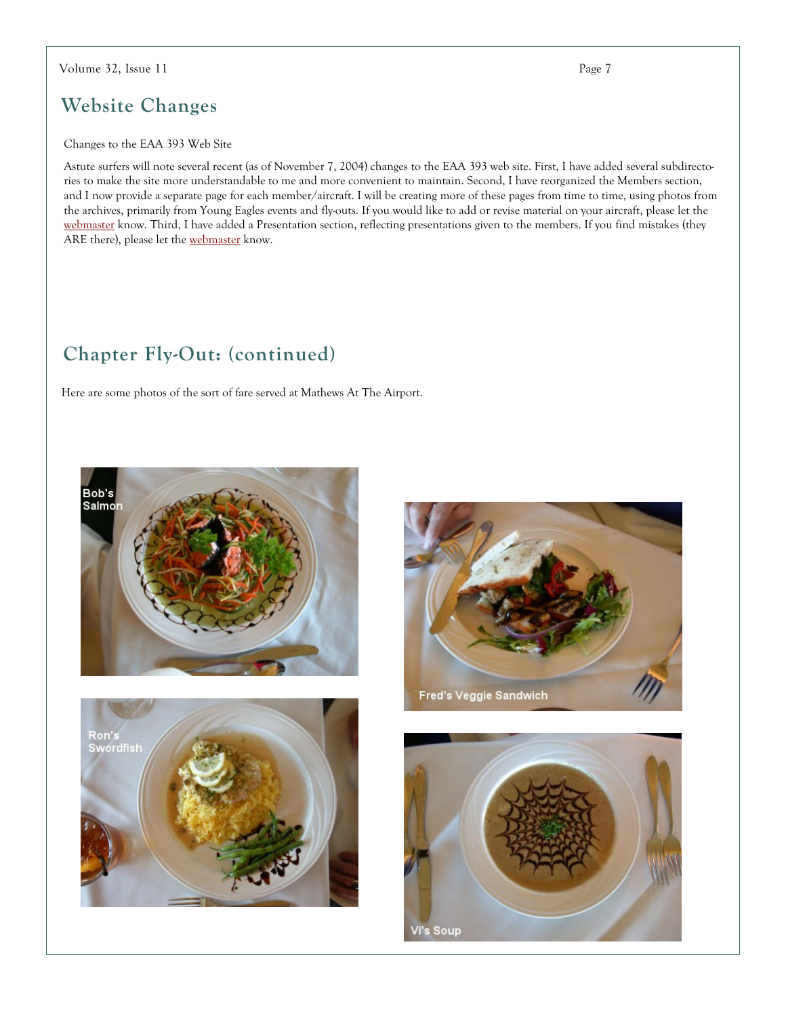#### Volume 32, Issue 11

### **Website Changes**

#### Changes to the EAA 393 Web Site

Astute surfers will note several recent (as of November 7, 2004) changes to the EAA 393 web site. First, I have added several subdirectories to make the site more understandable to me and more convenient to maintain. Second, I have reorganized the Members section, and I now provide a separate page for each member/aircraft. I will be creating more of these pages from time to time, using photos from the archives, primarily from Young Eagles events and fly-outs. If you would like to add or revise material on your aircraft, please let the webmaster know. Third, I have added a Presentation section, reflecting presentations given to the members. If you find mistakes (they ARE there), please let the webmaster know.

### Chapter Fly-Out: (continued)

Here are some photos of the sort of fare served at Mathews At The Airport.









Page 7